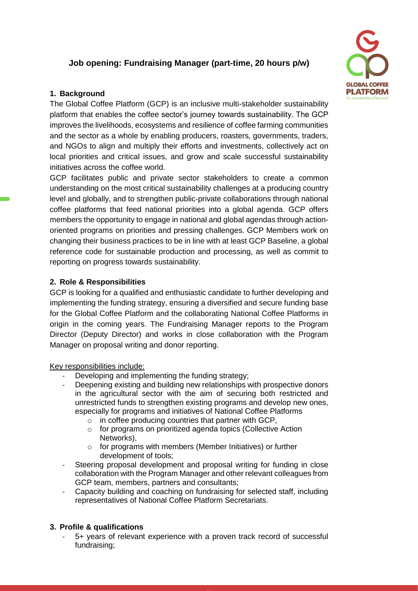# **Job opening: Fundraising Manager (part-time, 20 hours p/w)**

### **1. Background**

The Global Coffee Platform (GCP) is an inclusive multi-stakeholder sustainability platform that enables the coffee sector's journey towards sustainability. The GCP improves the livelihoods, ecosystems and resilience of coffee farming communities and the sector as a whole by enabling producers, roasters, governments, traders, and NGOs to align and multiply their efforts and investments, collectively act on local priorities and critical issues, and grow and scale successful sustainability initiatives across the coffee world.

GCP facilitates public and private sector stakeholders to create a common understanding on the most critical sustainability challenges at a producing country level and globally, and to strengthen public-private collaborations through national coffee platforms that feed national priorities into a global agenda. GCP offers members the opportunity to engage in national and global agendas through actionoriented programs on priorities and pressing challenges. GCP Members work on changing their business practices to be in line with at least GCP Baseline, a global reference code for sustainable production and processing, as well as commit to reporting on progress towards sustainability.

## **2. Role & Responsibilities**

GCP is looking for a qualified and enthusiastic candidate to further developing and implementing the funding strategy, ensuring a diversified and secure funding base for the Global Coffee Platform and the collaborating National Coffee Platforms in origin in the coming years. The Fundraising Manager reports to the Program Director (Deputy Director) and works in close collaboration with the Program Manager on proposal writing and donor reporting.

Key responsibilities include:

- Developing and implementing the funding strategy;
- Deepening existing and building new relationships with prospective donors in the agricultural sector with the aim of securing both restricted and unrestricted funds to strengthen existing programs and develop new ones, especially for programs and initiatives of National Coffee Platforms
	- o in coffee producing countries that partner with GCP,
	- o for programs on prioritized agenda topics (Collective Action Networks),
	- o for programs with members (Member Initiatives) or further development of tools;
- Steering proposal development and proposal writing for funding in close collaboration with the Program Manager and other relevant colleagues from GCP team, members, partners and consultants;
- Capacity building and coaching on fundraising for selected staff, including representatives of National Coffee Platform Secretariats.

### **3. Profile & qualifications**

- 5+ years of relevant experience with a proven track record of successful fundraising;